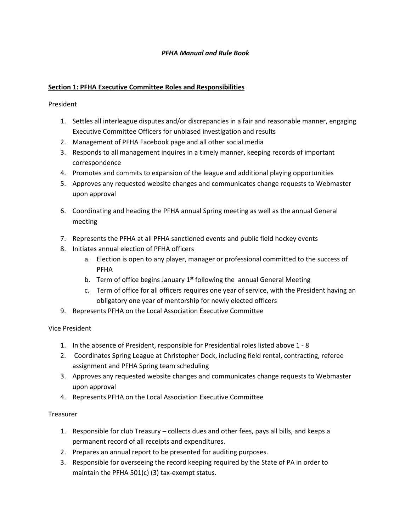### PFHA Manual and Rule Book

### Section 1: PFHA Executive Committee Roles and Responsibilities

President

- 1. Settles all interleague disputes and/or discrepancies in a fair and reasonable manner, engaging Executive Committee Officers for unbiased investigation and results
- 2. Management of PFHA Facebook page and all other social media
- 3. Responds to all management inquires in a timely manner, keeping records of important correspondence
- 4. Promotes and commits to expansion of the league and additional playing opportunities
- 5. Approves any requested website changes and communicates change requests to Webmaster upon approval
- 6. Coordinating and heading the PFHA annual Spring meeting as well as the annual General meeting
- 7. Represents the PFHA at all PFHA sanctioned events and public field hockey events
- 8. Initiates annual election of PFHA officers
	- a. Election is open to any player, manager or professional committed to the success of PFHA
	- b. Term of office begins January  $1<sup>st</sup>$  following the annual General Meeting
	- c. Term of office for all officers requires one year of service, with the President having an obligatory one year of mentorship for newly elected officers
- 9. Represents PFHA on the Local Association Executive Committee

# Vice President

- 1. In the absence of President, responsible for Presidential roles listed above 1 8
- 2. Coordinates Spring League at Christopher Dock, including field rental, contracting, referee assignment and PFHA Spring team scheduling
- 3. Approves any requested website changes and communicates change requests to Webmaster upon approval
- 4. Represents PFHA on the Local Association Executive Committee

# **Treasurer**

- 1. Responsible for club Treasury collects dues and other fees, pays all bills, and keeps a permanent record of all receipts and expenditures.
- 2. Prepares an annual report to be presented for auditing purposes.
- 3. Responsible for overseeing the record keeping required by the State of PA in order to maintain the PFHA 501(c) (3) tax-exempt status.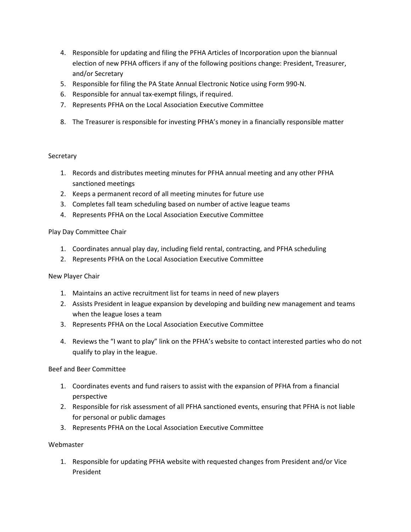- 4. Responsible for updating and filing the PFHA Articles of Incorporation upon the biannual election of new PFHA officers if any of the following positions change: President, Treasurer, and/or Secretary
- 5. Responsible for filing the PA State Annual Electronic Notice using Form 990-N.
- 6. Responsible for annual tax-exempt filings, if required.
- 7. Represents PFHA on the Local Association Executive Committee
- 8. The Treasurer is responsible for investing PFHA's money in a financially responsible matter

#### **Secretary**

- 1. Records and distributes meeting minutes for PFHA annual meeting and any other PFHA sanctioned meetings
- 2. Keeps a permanent record of all meeting minutes for future use
- 3. Completes fall team scheduling based on number of active league teams
- 4. Represents PFHA on the Local Association Executive Committee

### Play Day Committee Chair

- 1. Coordinates annual play day, including field rental, contracting, and PFHA scheduling
- 2. Represents PFHA on the Local Association Executive Committee

# New Player Chair

- 1. Maintains an active recruitment list for teams in need of new players
- 2. Assists President in league expansion by developing and building new management and teams when the league loses a team
- 3. Represents PFHA on the Local Association Executive Committee
- 4. Reviews the "I want to play" link on the PFHA's website to contact interested parties who do not qualify to play in the league.

#### Beef and Beer Committee

- 1. Coordinates events and fund raisers to assist with the expansion of PFHA from a financial perspective
- 2. Responsible for risk assessment of all PFHA sanctioned events, ensuring that PFHA is not liable for personal or public damages
- 3. Represents PFHA on the Local Association Executive Committee

# Webmaster

1. Responsible for updating PFHA website with requested changes from President and/or Vice President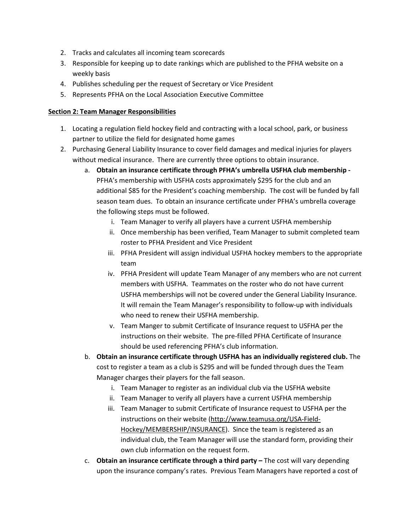- 2. Tracks and calculates all incoming team scorecards
- 3. Responsible for keeping up to date rankings which are published to the PFHA website on a weekly basis
- 4. Publishes scheduling per the request of Secretary or Vice President
- 5. Represents PFHA on the Local Association Executive Committee

#### Section 2: Team Manager Responsibilities

- 1. Locating a regulation field hockey field and contracting with a local school, park, or business partner to utilize the field for designated home games
- 2. Purchasing General Liability Insurance to cover field damages and medical injuries for players without medical insurance. There are currently three options to obtain insurance.
	- a. Obtain an insurance certificate through PFHA's umbrella USFHA club membership PFHA's membership with USFHA costs approximately \$295 for the club and an additional \$85 for the President's coaching membership. The cost will be funded by fall season team dues. To obtain an insurance certificate under PFHA's umbrella coverage the following steps must be followed.
		- i. Team Manager to verify all players have a current USFHA membership
		- ii. Once membership has been verified, Team Manager to submit completed team roster to PFHA President and Vice President
		- iii. PFHA President will assign individual USFHA hockey members to the appropriate team
		- iv. PFHA President will update Team Manager of any members who are not current members with USFHA. Teammates on the roster who do not have current USFHA memberships will not be covered under the General Liability Insurance. It will remain the Team Manager's responsibility to follow-up with individuals who need to renew their USFHA membership.
		- v. Team Manger to submit Certificate of Insurance request to USFHA per the instructions on their website. The pre-filled PFHA Certificate of Insurance should be used referencing PFHA's club information.
	- b. Obtain an insurance certificate through USFHA has an individually registered club. The cost to register a team as a club is \$295 and will be funded through dues the Team Manager charges their players for the fall season.
		- i. Team Manager to register as an individual club via the USFHA website
		- ii. Team Manager to verify all players have a current USFHA membership
		- iii. Team Manager to submit Certificate of Insurance request to USFHA per the instructions on their website (http://www.teamusa.org/USA-Field-Hockey/MEMBERSHIP/INSURANCE). Since the team is registered as an individual club, the Team Manager will use the standard form, providing their own club information on the request form.
	- c. Obtain an insurance certificate through a third party  $-$  The cost will vary depending upon the insurance company's rates. Previous Team Managers have reported a cost of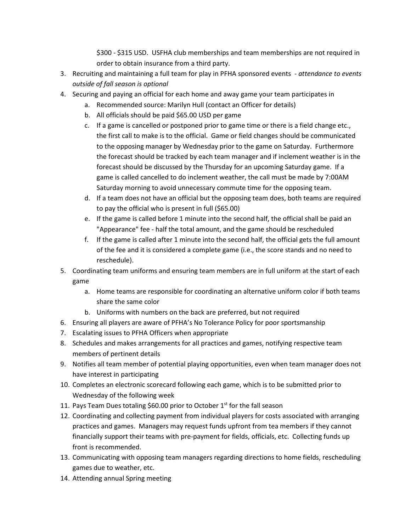\$300 - \$315 USD. USFHA club memberships and team memberships are not required in order to obtain insurance from a third party.

- 3. Recruiting and maintaining a full team for play in PFHA sponsored events attendance to events outside of fall season is optional
- 4. Securing and paying an official for each home and away game your team participates in
	- a. Recommended source: Marilyn Hull (contact an Officer for details)
	- b. All officials should be paid \$65.00 USD per game
	- c. If a game is cancelled or postponed prior to game time or there is a field change etc., the first call to make is to the official. Game or field changes should be communicated to the opposing manager by Wednesday prior to the game on Saturday. Furthermore the forecast should be tracked by each team manager and if inclement weather is in the forecast should be discussed by the Thursday for an upcoming Saturday game. If a game is called cancelled to do inclement weather, the call must be made by 7:00AM Saturday morning to avoid unnecessary commute time for the opposing team.
	- d. If a team does not have an official but the opposing team does, both teams are required to pay the official who is present in full (\$65.00)
	- e. If the game is called before 1 minute into the second half, the official shall be paid an "Appearance" fee - half the total amount, and the game should be rescheduled
	- f. If the game is called after 1 minute into the second half, the official gets the full amount of the fee and it is considered a complete game (i.e., the score stands and no need to reschedule).
- 5. Coordinating team uniforms and ensuring team members are in full uniform at the start of each game
	- a. Home teams are responsible for coordinating an alternative uniform color if both teams share the same color
	- b. Uniforms with numbers on the back are preferred, but not required
- 6. Ensuring all players are aware of PFHA's No Tolerance Policy for poor sportsmanship
- 7. Escalating issues to PFHA Officers when appropriate
- 8. Schedules and makes arrangements for all practices and games, notifying respective team members of pertinent details
- 9. Notifies all team member of potential playing opportunities, even when team manager does not have interest in participating
- 10. Completes an electronic scorecard following each game, which is to be submitted prior to Wednesday of the following week
- 11. Pays Team Dues totaling \$60.00 prior to October 1st for the fall season
- 12. Coordinating and collecting payment from individual players for costs associated with arranging practices and games. Managers may request funds upfront from tea members if they cannot financially support their teams with pre-payment for fields, officials, etc. Collecting funds up front is recommended.
- 13. Communicating with opposing team managers regarding directions to home fields, rescheduling games due to weather, etc.
- 14. Attending annual Spring meeting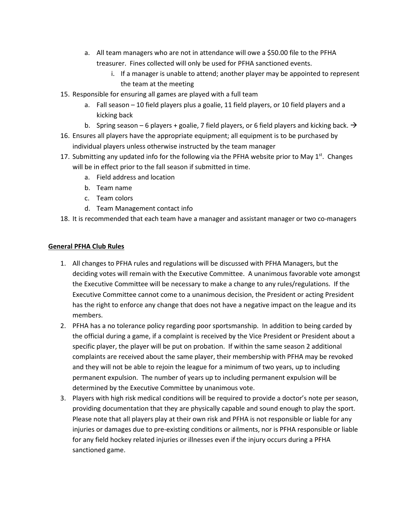- a. All team managers who are not in attendance will owe a \$50.00 file to the PFHA treasurer. Fines collected will only be used for PFHA sanctioned events.
	- i. If a manager is unable to attend; another player may be appointed to represent the team at the meeting
- 15. Responsible for ensuring all games are played with a full team
	- a. Fall season 10 field players plus a goalie, 11 field players, or 10 field players and a kicking back
	- b. Spring season 6 players + goalie, 7 field players, or 6 field players and kicking back.  $\rightarrow$
- 16. Ensures all players have the appropriate equipment; all equipment is to be purchased by individual players unless otherwise instructed by the team manager
- 17. Submitting any updated info for the following via the PFHA website prior to May  $1<sup>st</sup>$ . Changes will be in effect prior to the fall season if submitted in time.
	- a. Field address and location
	- b. Team name
	- c. Team colors
	- d. Team Management contact info
- 18. It is recommended that each team have a manager and assistant manager or two co-managers

#### General PFHA Club Rules

- 1. All changes to PFHA rules and regulations will be discussed with PFHA Managers, but the deciding votes will remain with the Executive Committee. A unanimous favorable vote amongst the Executive Committee will be necessary to make a change to any rules/regulations. If the Executive Committee cannot come to a unanimous decision, the President or acting President has the right to enforce any change that does not have a negative impact on the league and its members.
- 2. PFHA has a no tolerance policy regarding poor sportsmanship. In addition to being carded by the official during a game, if a complaint is received by the Vice President or President about a specific player, the player will be put on probation. If within the same season 2 additional complaints are received about the same player, their membership with PFHA may be revoked and they will not be able to rejoin the league for a minimum of two years, up to including permanent expulsion. The number of years up to including permanent expulsion will be determined by the Executive Committee by unanimous vote.
- 3. Players with high risk medical conditions will be required to provide a doctor's note per season, providing documentation that they are physically capable and sound enough to play the sport. Please note that all players play at their own risk and PFHA is not responsible or liable for any injuries or damages due to pre-existing conditions or ailments, nor is PFHA responsible or liable for any field hockey related injuries or illnesses even if the injury occurs during a PFHA sanctioned game.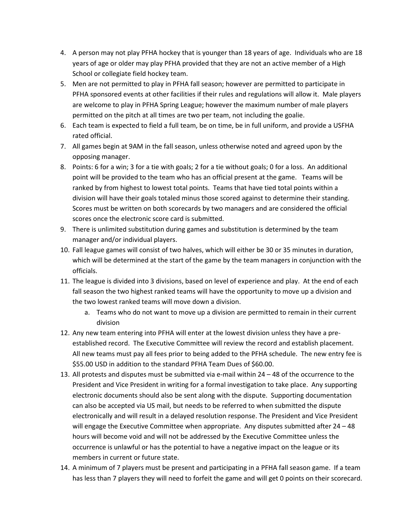- 4. A person may not play PFHA hockey that is younger than 18 years of age. Individuals who are 18 years of age or older may play PFHA provided that they are not an active member of a High School or collegiate field hockey team.
- 5. Men are not permitted to play in PFHA fall season; however are permitted to participate in PFHA sponsored events at other facilities if their rules and regulations will allow it. Male players are welcome to play in PFHA Spring League; however the maximum number of male players permitted on the pitch at all times are two per team, not including the goalie.
- 6. Each team is expected to field a full team, be on time, be in full uniform, and provide a USFHA rated official.
- 7. All games begin at 9AM in the fall season, unless otherwise noted and agreed upon by the opposing manager.
- 8. Points: 6 for a win; 3 for a tie with goals; 2 for a tie without goals; 0 for a loss. An additional point will be provided to the team who has an official present at the game. Teams will be ranked by from highest to lowest total points. Teams that have tied total points within a division will have their goals totaled minus those scored against to determine their standing. Scores must be written on both scorecards by two managers and are considered the official scores once the electronic score card is submitted.
- 9. There is unlimited substitution during games and substitution is determined by the team manager and/or individual players.
- 10. Fall league games will consist of two halves, which will either be 30 or 35 minutes in duration, which will be determined at the start of the game by the team managers in conjunction with the officials.
- 11. The league is divided into 3 divisions, based on level of experience and play. At the end of each fall season the two highest ranked teams will have the opportunity to move up a division and the two lowest ranked teams will move down a division.
	- a. Teams who do not want to move up a division are permitted to remain in their current division
- 12. Any new team entering into PFHA will enter at the lowest division unless they have a preestablished record. The Executive Committee will review the record and establish placement. All new teams must pay all fees prior to being added to the PFHA schedule. The new entry fee is \$55.00 USD in addition to the standard PFHA Team Dues of \$60.00.
- 13. All protests and disputes must be submitted via e-mail within 24 48 of the occurrence to the President and Vice President in writing for a formal investigation to take place. Any supporting electronic documents should also be sent along with the dispute. Supporting documentation can also be accepted via US mail, but needs to be referred to when submitted the dispute electronically and will result in a delayed resolution response. The President and Vice President will engage the Executive Committee when appropriate. Any disputes submitted after 24 - 48 hours will become void and will not be addressed by the Executive Committee unless the occurrence is unlawful or has the potential to have a negative impact on the league or its members in current or future state.
- 14. A minimum of 7 players must be present and participating in a PFHA fall season game. If a team has less than 7 players they will need to forfeit the game and will get 0 points on their scorecard.